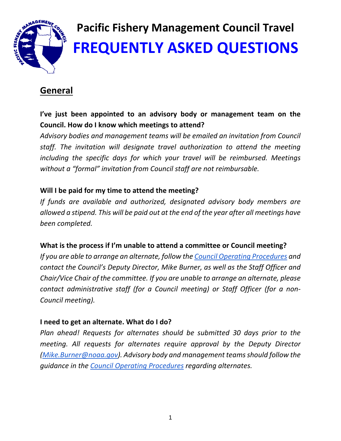

# **Pacific Fishery Management Council Travel FREQUENTLY ASKED QUESTIONS**

# **General**

# **I've just been appointed to an advisory body or management team on the Council. How do I know which meetings to attend?**

*Advisory bodies and management teams will be emailed an invitation from Council staff. The invitation will designate travel authorization to attend the meeting including the specific days for which your travel will be reimbursed. Meetings without a "formal" invitation from Council staff are not reimbursable.*

# **Will I be paid for my time to attend the meeting?**

*If funds are available and authorized, designated advisory body members are allowed a stipend. This will be paid out at the end of the year after all meetings have been completed.* 

# **What is the process if I'm unable to attend a committee or Council meeting?**

*If you are able to arrange an alternate, follow the Council Operating Procedures and contact the Council's Deputy Director, Mike Burner, as well as the Staff Officer and Chair/Vice Chair of the committee. If you are unable to arrange an alternate, please contact administrative staff (for a Council meeting) or Staff Officer (for a non‐ Council meeting).*

# **I need to get an alternate. What do I do?**

*Plan ahead! Requests for alternates should be submitted 30 days prior to the meeting. All requests for alternates require approval by the Deputy Director (Mike.Burner@noaa.gov). Advisory body and management teamsshould follow the guidance in the Council Operating Procedures regarding alternates.*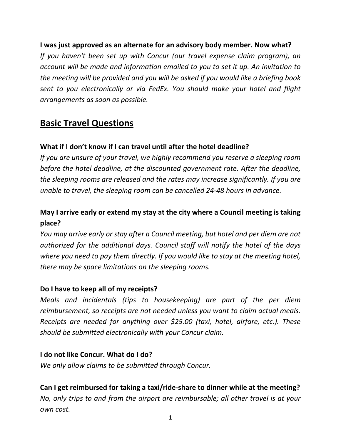#### **I was just approved as an alternate for an advisory body member. Now what?**

*If you haven't been set up with Concur (our travel expense claim program), an account will be made and information emailed to you to set it up. An invitation to the meeting will be provided and you will be asked if you would like a briefing book sent to you electronically or via FedEx. You should make your hotel and flight arrangements as soon as possible.* 

# **Basic Travel Questions**

# **What if I don't know if I can travel until after the hotel deadline?**

*If you are unsure of your travel, we highly recommend you reserve a sleeping room before the hotel deadline, at the discounted government rate. After the deadline, the sleeping rooms are released and the rates may increase significantly. If you are unable to travel, the sleeping room can be cancelled 24‐48 hours in advance.* 

# **May I arrive early or extend my stay at the city where a Council meeting is taking place?**

*You may arrive early or stay after a Council meeting, but hotel and per diem are not authorized for the additional days. Council staff will notify the hotel of the days where you need to pay them directly. If you would like to stay at the meeting hotel, there may be space limitations on the sleeping rooms.*

#### **Do I have to keep all of my receipts?**

*Meals and incidentals (tips to housekeeping) are part of the per diem reimbursement, so receipts are not needed unless you want to claim actual meals. Receipts are needed for anything over \$25.00 (taxi, hotel, airfare, etc.). These should be submitted electronically with your Concur claim.* 

#### **I do not like Concur. What do I do?**

*We only allow claims to be submitted through Concur.* 

**Can I get reimbursed for taking a taxi/ride‐share to dinner while at the meeting?** *No, only trips to and from the airport are reimbursable; all other travel is at your own cost.*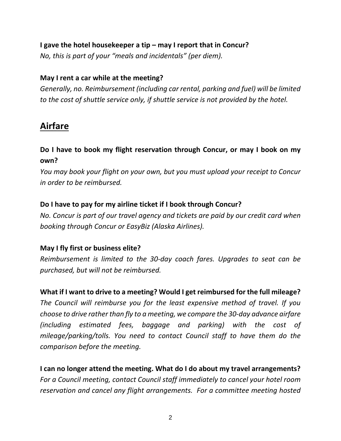# **I gave the hotel housekeeper a tip – may I report that in Concur?**

*No, this is part of your "meals and incidentals" (per diem).*

#### **May I rent a car while at the meeting?**

*Generally, no. Reimbursement (including car rental, parking and fuel) will be limited to the cost of shuttle service only, if shuttle service is not provided by the hotel.*

# **Airfare**

# **Do I have to book my flight reservation through Concur, or may I book on my own?**

*You may book your flight on your own, but you must upload your receipt to Concur in order to be reimbursed.*

# **Do I have to pay for my airline ticket if I book through Concur?**

*No. Concur is part of our travel agency and tickets are paid by our credit card when booking through Concur or EasyBiz (Alaska Airlines).*

#### **May I fly first or business elite?**

*Reimbursement is limited to the 30‐day coach fares. Upgrades to seat can be purchased, but will not be reimbursed.* 

# **What if I want to drive to a meeting? Would I get reimbursed for the full mileage?**

*The Council will reimburse you for the least expensive method of travel. If you choose to drive ratherthan fly to a meeting, we compare the 30‐day advance airfare (including estimated fees, baggage and parking) with the cost of mileage/parking/tolls. You need to contact Council staff to have them do the comparison before the meeting.*

**I can no longer attend the meeting. What do I do about my travel arrangements?** *For a Council meeting, contact Council staff immediately to cancel your hotel room reservation and cancel any flight arrangements. For a committee meeting hosted*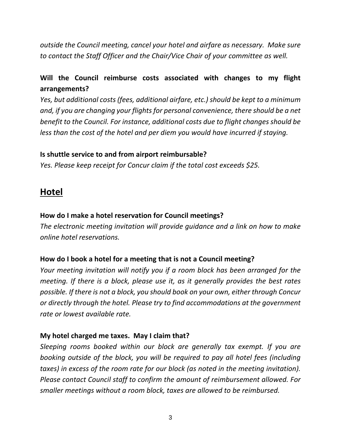*outside the Council meeting, cancel your hotel and airfare as necessary. Make sure to contact the Staff Officer and the Chair/Vice Chair of your committee as well.*

# **Will the Council reimburse costs associated with changes to my flight arrangements?**

*Yes, but additional costs (fees, additional airfare, etc.) should be kept to a minimum and, if you are changing your flights for personal convenience, there should be a net benefit to the Council. For instance, additional costs due to flight changes should be less than the cost of the hotel and per diem you would have incurred if staying.* 

#### **Is shuttle service to and from airport reimbursable?**

*Yes. Please keep receipt for Concur claim if the total cost exceeds \$25.*

# **Hotel**

# **How do I make a hotel reservation for Council meetings?**

*The electronic meeting invitation will provide guidance and a link on how to make online hotel reservations.* 

# **How do I book a hotel for a meeting that is not a Council meeting?**

*Your meeting invitation will notify you if a room block has been arranged for the meeting. If there is a block, please use it, as it generally provides the best rates possible. If there is not a block, you should book on your own, either through Concur or directly through the hotel. Please try to find accommodations at the government rate or lowest available rate.* 

# **My hotel charged me taxes. May I claim that?**

*Sleeping rooms booked within our block are generally tax exempt. If you are booking outside of the block, you will be required to pay all hotel fees (including taxes) in excess of the room rate for our block (as noted in the meeting invitation). Please contact Council staff to confirm the amount of reimbursement allowed. For smaller meetings without a room block, taxes are allowed to be reimbursed.*